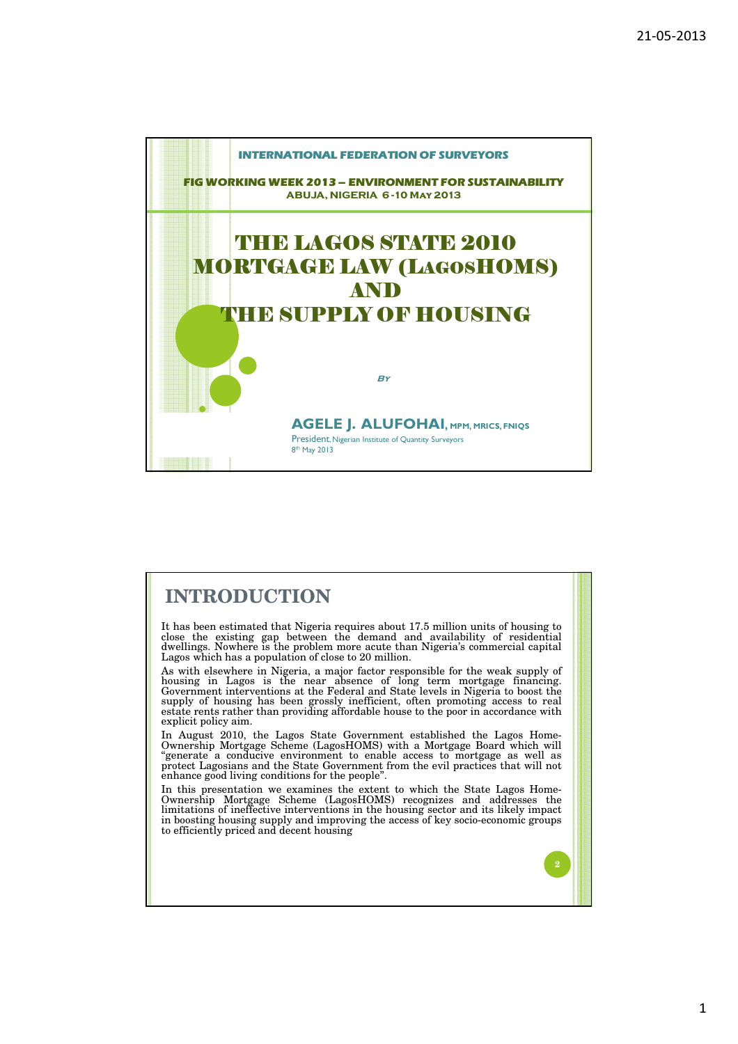

# **INTRODUCTION**

It has been estimated that Nigeria requires about 17.5 million units of housing to close the existing gap between the demand and availability of residential dwellings. Nowhere is the problem more acute than Nigeria's commercial capital Lagos which has a population of close to 20 million.

As with elsewhere in Nigeria, a major factor responsible for the weak supply of housing in Lagos is the near absence of long term mortgage financing. Government interventions at the Federal and State levels in Nigeria to boost the supply of housing has been grossly inefficient, often promoting access to real estate rents rather than providing affordable house to the poor in accordance with explicit policy aim.

In August 2010, the Lagos State Government established the Lagos Home-Ownership Mortgage Scheme (LagosHOMS) with a Mortgage Board which will "generate a conducive environment to enable access to mortgage as well as protect Lagosians and the State Government from the evil practices that will not enhance good living conditions for the people".

In this presentation we examines the extent to which the State Lagos Home-Ownership Mortgage Scheme (LagosHOMS) recognizes and addresses the limitations of ineffective interventions in the housing sector and its likely impact in boosting housing supply and improving the access of key socio-economic groups to efficiently priced and decent housing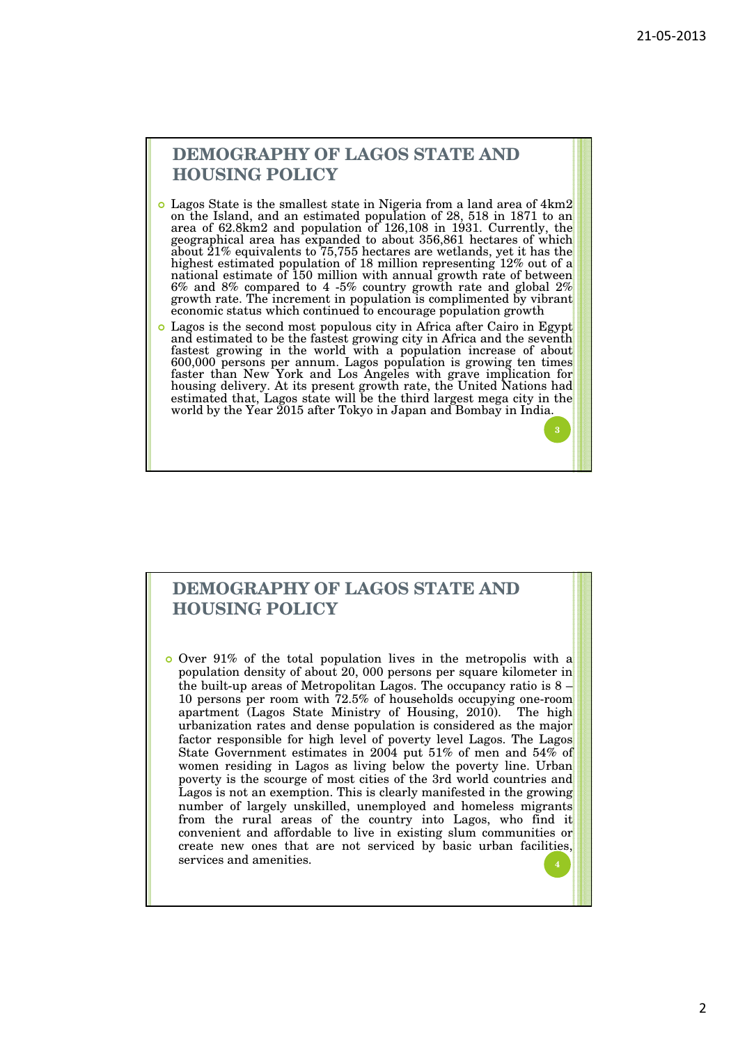**3**

## **DEMOGRAPHY OF LAGOS STATE AND HOUSING POLICY**

- Lagos State is the smallest state in Nigeria from a land area of 4km2 on the Island, and an estimated population of 28, 518 in 1871 to an area of 62.8km2 and population of 126,108 in 1931. Currently, the geographical area has expanded to about 356,861 hectares of which about 21% equivalents to 75,755 hectares are wetlands, yet it has the highest estimated population of 18 million representing 12% out of a national estimate of 150 million with annual growth rate of between 6% and 8% compared to 4 -5% country growth rate and global 2% growth rate. The increment in population is complimented by vibrant economic status which continued to encourage population growth
- Lagos is the second most populous city in Africa after Cairo in Egypt and estimated to be the fastest growing city in Africa and the seventh fastest growing in the world with a population increase of about 600,000 persons per annum. Lagos population is growing ten times faster than New York and Los Angeles with grave implication for housing delivery. At its present growth rate, the United Nations had estimated that, Lagos state will be the third largest mega city in the world by the Year 2015 after Tokyo in Japan and Bombay in India.

# **DEMOGRAPHY OF LAGOS STATE AND HOUSING POLICY**

o Over 91% of the total population lives in the metropolis with a population density of about 20, 000 persons per square kilometer in the built-up areas of Metropolitan Lagos. The occupancy ratio is  $8 -$ 10 persons per room with 72.5% of households occupying one-room apartment (Lagos State Ministry of Housing, 2010). The high urbanization rates and dense population is considered as the major factor responsible for high level of poverty level Lagos. The Lagos State Government estimates in 2004 put 51% of men and 54% of women residing in Lagos as living below the poverty line. Urban poverty is the scourge of most cities of the 3rd world countries and Lagos is not an exemption. This is clearly manifested in the growing number of largely unskilled, unemployed and homeless migrants from the rural areas of the country into Lagos, who find it convenient and affordable to live in existing slum communities or create new ones that are not serviced by basic urban facilities, services and amenities. **<sup>4</sup>**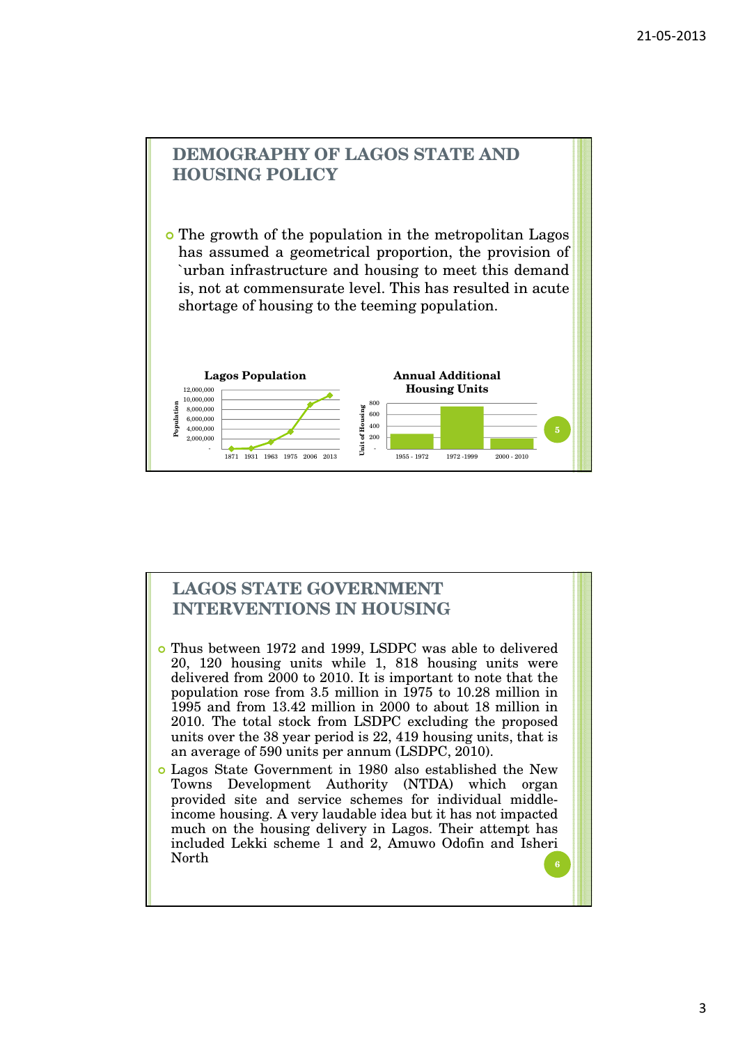

# **LAGOS STATE GOVERNMENT INTERVENTIONS IN HOUSING**

- Thus between 1972 and 1999, LSDPC was able to delivered 20, 120 housing units while 1, 818 housing units were delivered from 2000 to 2010. It is important to note that the population rose from 3.5 million in 1975 to 10.28 million in 1995 and from 13.42 million in 2000 to about 18 million in 2010. The total stock from LSDPC excluding the proposed units over the 38 year period is 22, 419 housing units, that is an average of 590 units per annum (LSDPC, 2010).
- Lagos State Government in 1980 also established the New Towns Development Authority (NTDA) which organ provided site and service schemes for individual middleincome housing. A very laudable idea but it has not impacted much on the housing delivery in Lagos. Their attempt has included Lekki scheme 1 and 2, Amuwo Odofin and Isheri North **6**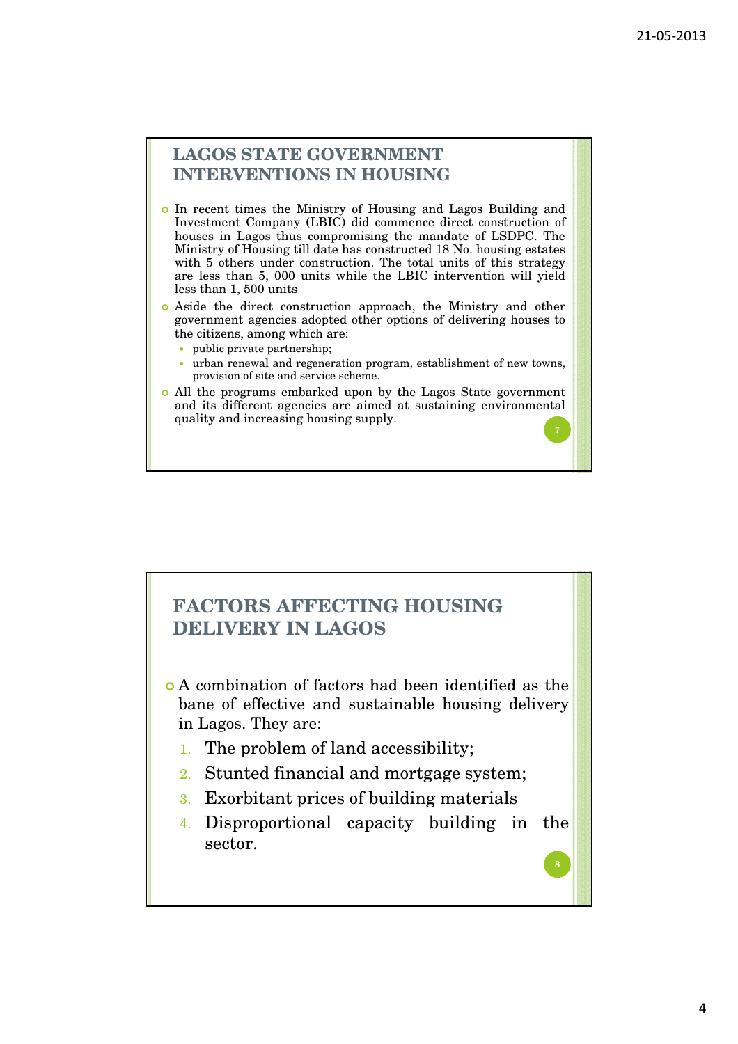**7**

**8**

## **LAGOS STATE GOVERNMENT INTERVENTIONS IN HOUSING**

- In recent times the Ministry of Housing and Lagos Building and Investment Company (LBIC) did commence direct construction of houses in Lagos thus compromising the mandate of LSDPC. The Ministry of Housing till date has constructed 18 No. housing estates with 5 others under construction. The total units of this strategy are less than 5, 000 units while the LBIC intervention will yield less than 1, 500 units
- Aside the direct construction approach, the Ministry and other government agencies adopted other options of delivering houses to the citizens, among which are:
	- public private partnership:
	- urban renewal and regeneration program, establishment of new towns, provision of site and service scheme.
- All the programs embarked upon by the Lagos State government and its different agencies are aimed at sustaining environmental quality and increasing housing supply.

# **FACTORS AFFECTING HOUSING DELIVERY IN LAGOS**

- A combination of factors had been identified as the bane of effective and sustainable housing delivery in Lagos. They are:
	- 1. The problem of land accessibility;
	- 2. Stunted financial and mortgage system;
	- 3. Exorbitant prices of building materials
	- 4. Disproportional capacity building in the sector.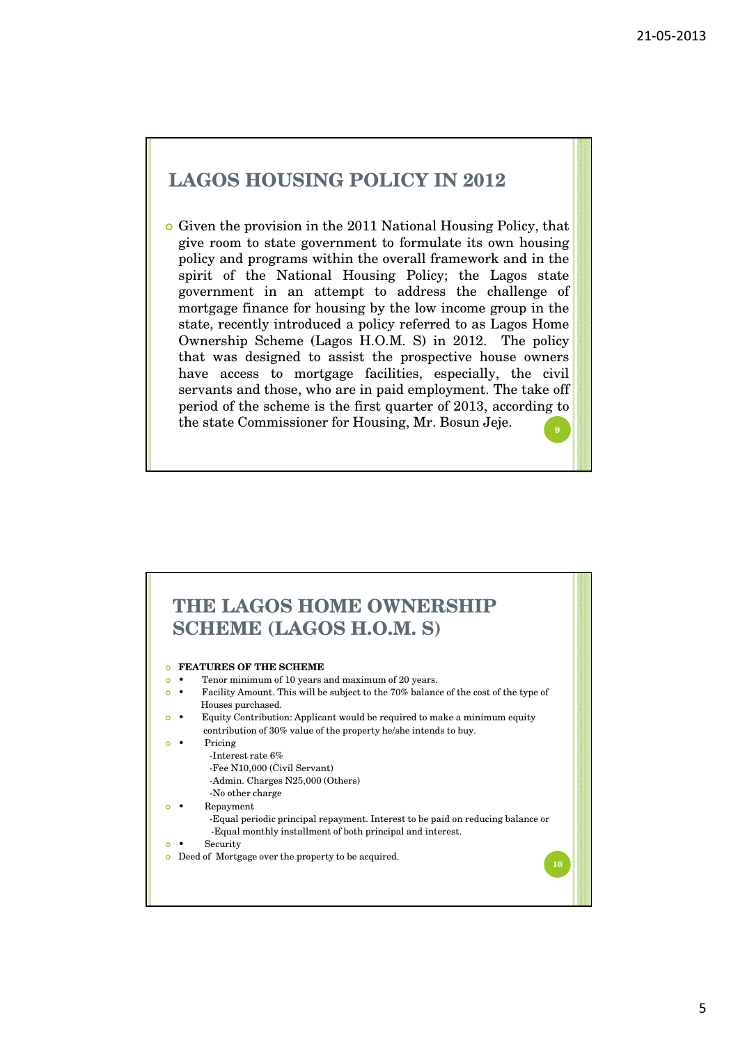# **LAGOS HOUSING POLICY IN 2012**

 Given the provision in the 2011 National Housing Policy, that give room to state government to formulate its own housing policy and programs within the overall framework and in the spirit of the National Housing Policy; the Lagos state government in an attempt to address the challenge of mortgage finance for housing by the low income group in the state, recently introduced a policy referred to as Lagos Home Ownership Scheme (Lagos H.O.M. S) in 2012. The policy that was designed to assist the prospective house owners have access to mortgage facilities, especially, the civil servants and those, who are in paid employment. The take off period of the scheme is the first quarter of 2013, according to the state Commissioner for Housing, Mr. Bosun Jeje. **<sup>9</sup>**

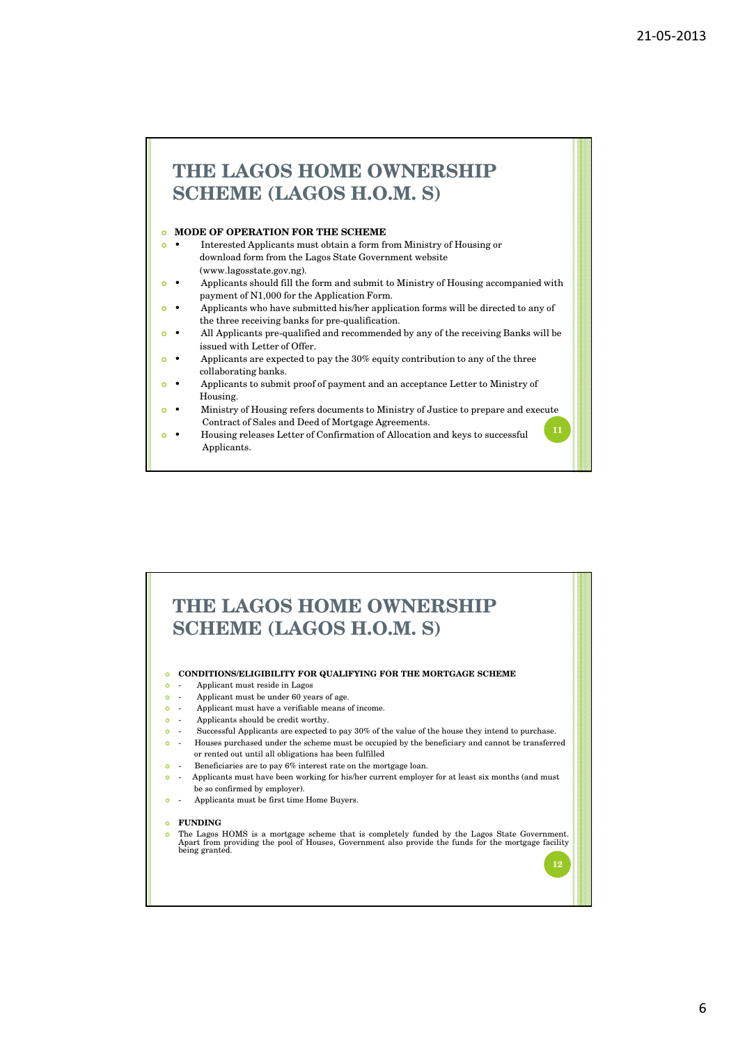# **THE LAGOS HOME OWNERSHIP SCHEME (LAGOS H.O.M. S)**

### **O MODE OF OPERATION FOR THE SCHEME**

- Interested Applicants must obtain a form from Ministry of Housing or download form from the Lagos State Government website (www.lagosstate.gov.ng).
- Applicants should fill the form and submit to Ministry of Housing accompanied with payment of N1,000 for the Application Form.
- Applicants who have submitted his/her application forms will be directed to any of the three receiving banks for pre-qualification.
- All Applicants pre-qualified and recommended by any of the receiving Banks will be issued with Letter of Offer.
- Applicants are expected to pay the 30% equity contribution to any of the three collaborating banks.
- Applicants to submit proof of payment and an acceptance Letter to Ministry of Housing.
- Ministry of Housing refers documents to Ministry of Justice to prepare and execute Contract of Sales and Deed of Mortgage Agreements. **11**
- Housing releases Letter of Confirmation of Allocation and keys to successful Applicants.

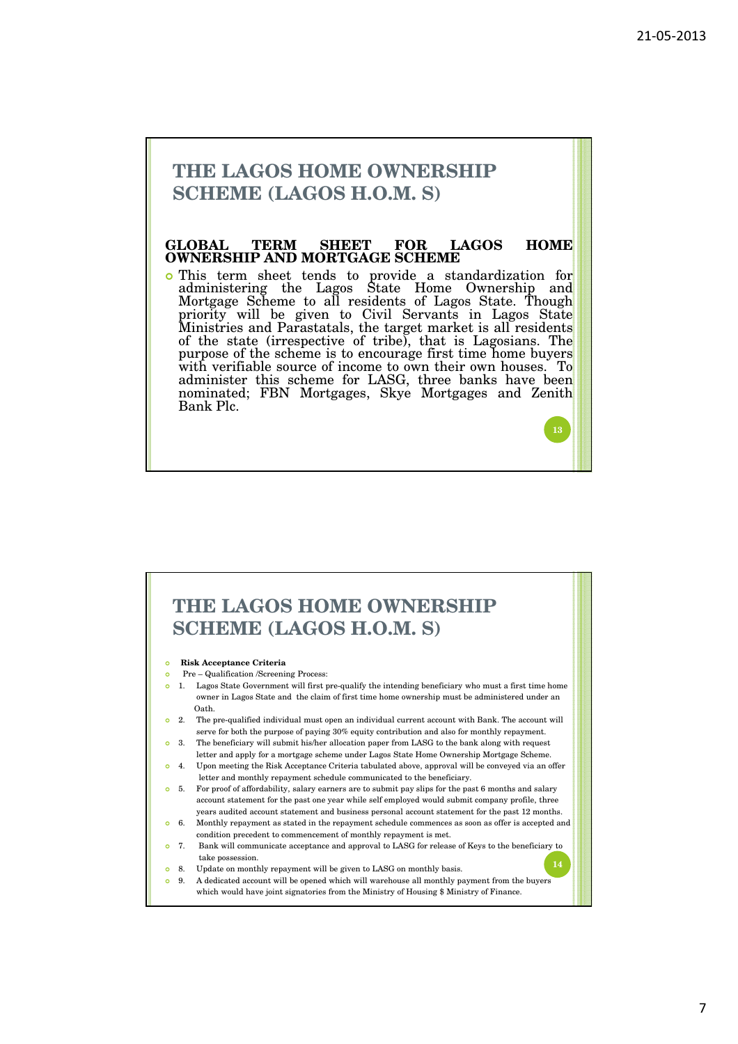# **THE LAGOS HOME OWNERSHIP SCHEME (LAGOS H.O.M. S)**

### **GLOBAL TERM SHEET FOR LAGOS HOME OWNERSHIP AND MORTGAGE SCHEME**

 This term sheet tends to provide a standardization for administering the Lagos State Home Ownership and Mortgage Scheme to all residents of Lagos State. Though priority will be given to Civil Servants in Lagos State Ministries and Parastatals, the target market is all residents of the state (irrespective of tribe), that is Lagosians. The purpose of the scheme is to encourage first time home buyers with verifiable source of income to own their own houses. To administer this scheme for LASG, three banks have been nominated; FBN Mortgages, Skye Mortgages and Zenith Bank Plc.

# **THE LAGOS HOME OWNERSHIP SCHEME (LAGOS H.O.M. S)**

**Risk Acceptance Criteria**

- Pre Qualification /Screening Process:
- 1. Lagos State Government will first pre-qualify the intending beneficiary who must a first time home owner in Lagos State and the claim of first time home ownership must be administered under an Oath.
- <sup>o</sup> 2. The pre-qualified individual must open an individual current account with Bank. The account will serve for both the purpose of paying 30% equity contribution and also for monthly repayment.
- 3. The beneficiary will submit his/her allocation paper from LASG to the bank along with request letter and apply for a mortgage scheme under Lagos State Home Ownership Mortgage Scheme.
- <sup>o</sup> 4. Upon meeting the Risk Acceptance Criteria tabulated above, approval will be conveyed via an offer letter and monthly repayment schedule communicated to the beneficiary.
- 5. For proof of affordability, salary earners are to submit pay slips for the past 6 months and salary account statement for the past one year while self employed would submit company profile, three years audited account statement and business personal account statement for the past 12 months. 6. Monthly repayment as stated in the repayment schedule commences as soon as offer is accepted and
- condition precedent to commencement of monthly repayment is met.
- 7. Bank will communicate acceptance and approval to LASG for release of Keys to the beneficiary to take possession.
- <sup>o</sup> 8. Update on monthly repayment will be given to LASG on monthly basis.
- 9. A dedicated account will be opened which will warehouse all monthly payment from the buyers which would have joint signatories from the Ministry of Housing \$ Ministry of Finance.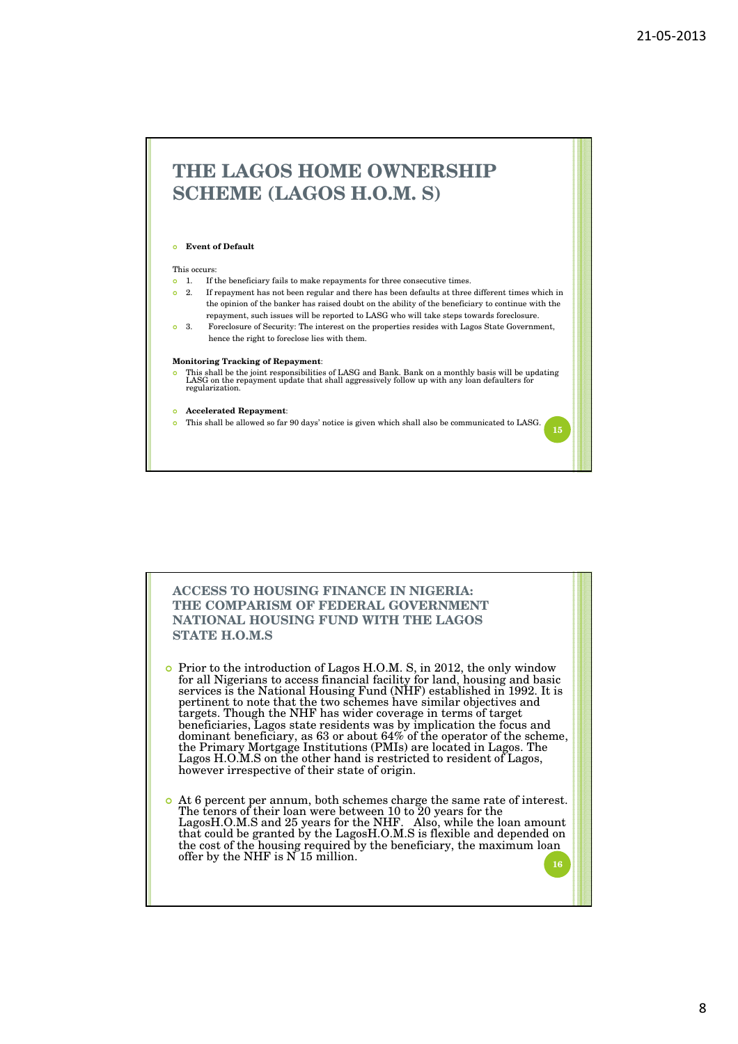# **THE LAGOS HOME OWNERSHIP SCHEME (LAGOS H.O.M. S)**

### **Event of Default**

#### This occurs:

- <sup>o</sup> 1. If the beneficiary fails to make repayments for three consecutive times.
- 2. If repayment has not been regular and there has been defaults at three different times which in the opinion of the banker has raised doubt on the ability of the beneficiary to continue with the repayment, such issues will be reported to LASG who will take steps towards foreclosure.
- 3. Foreclosure of Security: The interest on the properties resides with Lagos State Government, hence the right to foreclose lies with them.

#### **Monitoring Tracking of Repayment**:

 This shall be the joint responsibilities of LASG and Bank. Bank on a monthly basis will be updating LASG on the repayment update that shall aggressively follow up with any loan defaulters for regularization.

#### **Accelerated Repayment**:

This shall be allowed so far 90 days' notice is given which shall also be communicated to LASG.

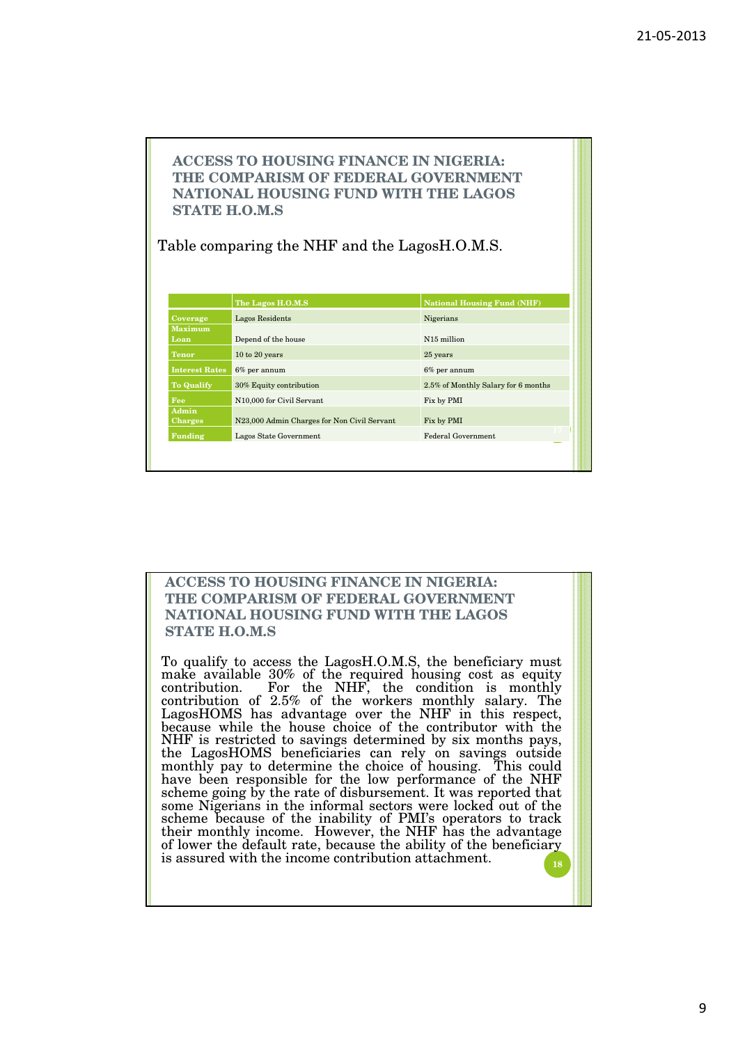### **ACCESS TO HOUSING FINANCE IN NIGERIA: THE COMPARISM OF FEDERAL GOVERNMENT NATIONAL HOUSING FUND WITH THE LAGOS STATE H.O.M.S**

Table comparing the NHF and the LagosH.O.M.S.

|                       | The Lagos H.O.M.S                           | <b>National Housing Fund (NHF)</b>  |
|-----------------------|---------------------------------------------|-------------------------------------|
| Coverage              | Lagos Residents                             | Nigerians                           |
| <b>Maximum</b>        |                                             |                                     |
| Loan                  | Depend of the house                         | N <sub>15</sub> million             |
| <b>Tenor</b>          | 10 to 20 years                              | 25 years                            |
| <b>Interest Rates</b> | $6\%$ per annum                             | $6\%$ per annum                     |
| <b>To Qualify</b>     | 30% Equity contribution                     | 2.5% of Monthly Salary for 6 months |
| Fee                   | N <sub>10</sub> ,000 for Civil Servant      | Fix by PMI                          |
| Admin                 |                                             |                                     |
| <b>Charges</b>        | N23,000 Admin Charges for Non Civil Servant | Fix by PMI                          |
| Funding               | Lagos State Government                      | Federal Government                  |

### **ACCESS TO HOUSING FINANCE IN NIGERIA: THE COMPARISM OF FEDERAL GOVERNMENT NATIONAL HOUSING FUND WITH THE LAGOS STATE H.O.M.S**

To qualify to access the LagosH.O.M.S, the beneficiary must make available 30% of the required housing cost as equity contribution. For the NHF, the condition is monthly contribution of 2.5% of the workers monthly salary. The LagosHOMS has advantage over the NHF in this respect, because while the house choice of the contributor with the NHF is restricted to savings determined by six months pays, the LagosHOMS beneficiaries can rely on savings outside monthly pay to determine the choice of housing. This could have been responsible for the low performance of the NHF scheme going by the rate of disbursement. It was reported that some Nigerians in the informal sectors were locked out of the scheme because of the inability of PMI's operators to track their monthly income. However, the NHF has the advantage of lower the default rate, because the ability of the beneficiary is assured with the income contribution attachment. **<sup>18</sup>**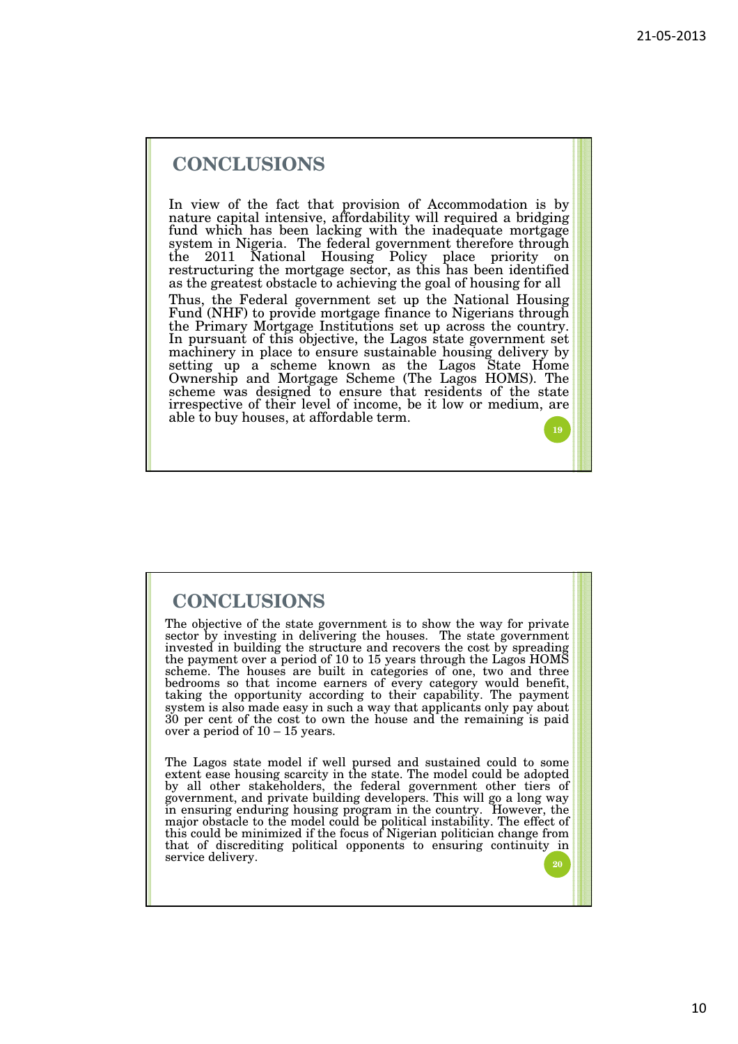**19**

# **CONCLUSIONS**

In view of the fact that provision of Accommodation is by nature capital intensive, affordability will required a bridging fund which has been lacking with the inadequate mortgage system in Nigeria. The federal government therefore through the 2011 National Housing Policy place priority on restructuring the mortgage sector, as this has been identified as the greatest obstacle to achieving the goal of housing for all Thus, the Federal government set up the National Housing Fund (NHF) to provide mortgage finance to Nigerians through the Primary Mortgage Institutions set up across the country. In pursuant of this objective, the Lagos state government set machinery in place to ensure sustainable housing delivery by setting up a scheme known as the Lagos State Home Ownership and Mortgage Scheme (The Lagos HOMS). The scheme was designed to ensure that residents of the state irrespective of their level of income, be it low or medium, are able to buy houses, at affordable term.

# **CONCLUSIONS**

The objective of the state government is to show the way for private sector by investing in delivering the houses. The state government invested in building the structure and recovers the cost by spreading the payment over a period of 10 to 15 years through the Lagos HOMS scheme. The houses are built in categories of one, two and three bedrooms so that income earners of every category would benefit, taking the opportunity according to their capability. The payment system is also made easy in such a way that applicants only pay about 30 per cent of the cost to own the house and the remaining is paid over a period of 10 – 15 years.

The Lagos state model if well pursed and sustained could to some extent ease housing scarcity in the state. The model could be adopted by all other stakeholders, the federal government other tiers of government, and private building developers. This will go a long way in ensuring enduring housing program in the country. However, the major obstacle to the model could be political instability. The effect of this could be minimized if the focus of Nigerian politician change from that of discrediting political opponents to ensuring continuity in service delivery.